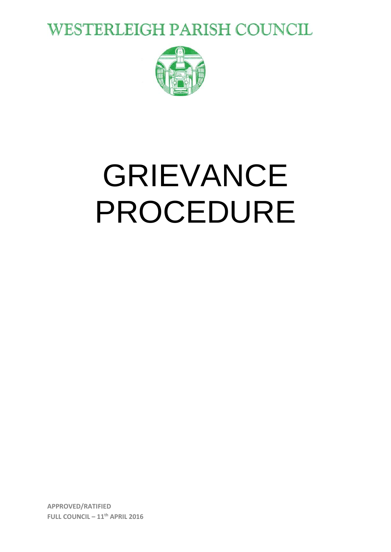**WESTERLEIGH PARISH COUNCIL** 



# GRIEVANCE PROCEDURE

**APPROVED/RATIFIED** FULL COUNCIL - 11<sup>th</sup> APRIL 2016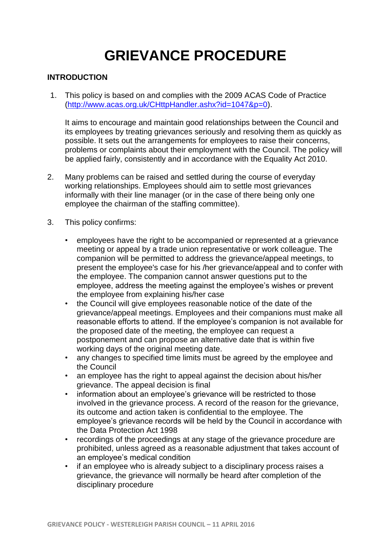# **GRIEVANCE PROCEDURE**

# **INTRODUCTION**

1. This policy is based on and complies with the 2009 ACAS Code of Practice [\(http://www.acas.org.uk/CHttpHandler.ashx?id=1047&p=0\)](http://www.acas.org.uk/CHttpHandler.ashx?id=1047&p=0).

It aims to encourage and maintain good relationships between the Council and its employees by treating grievances seriously and resolving them as quickly as possible. It sets out the arrangements for employees to raise their concerns, problems or complaints about their employment with the Council. The policy will be applied fairly, consistently and in accordance with the Equality Act 2010.

- 2. Many problems can be raised and settled during the course of everyday working relationships. Employees should aim to settle most grievances informally with their line manager (or in the case of there being only one employee the chairman of the staffing committee).
- 3. This policy confirms:
	- employees have the right to be accompanied or represented at a grievance meeting or appeal by a trade union representative or work colleague. The companion will be permitted to address the grievance/appeal meetings, to present the employee's case for his /her grievance/appeal and to confer with the employee. The companion cannot answer questions put to the employee, address the meeting against the employee's wishes or prevent the employee from explaining his/her case
	- the Council will give employees reasonable notice of the date of the grievance/appeal meetings. Employees and their companions must make all reasonable efforts to attend. If the employee's companion is not available for the proposed date of the meeting, the employee can request a postponement and can propose an alternative date that is within five working days of the original meeting date.
	- any changes to specified time limits must be agreed by the employee and the Council
	- an employee has the right to appeal against the decision about his/her grievance. The appeal decision is final
	- information about an employee's grievance will be restricted to those involved in the grievance process. A record of the reason for the grievance, its outcome and action taken is confidential to the employee. The employee's grievance records will be held by the Council in accordance with the Data Protection Act 1998
	- recordings of the proceedings at any stage of the grievance procedure are prohibited, unless agreed as a reasonable adjustment that takes account of an employee's medical condition
	- if an employee who is already subject to a disciplinary process raises a grievance, the grievance will normally be heard after completion of the disciplinary procedure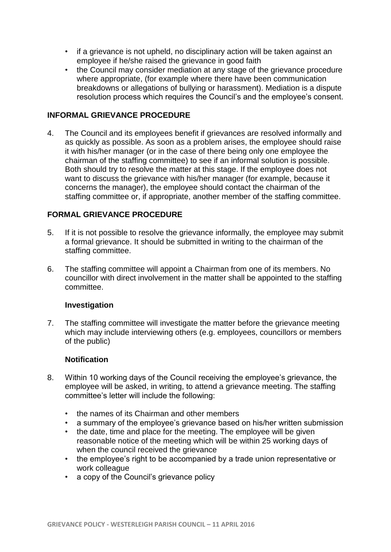- if a grievance is not upheld, no disciplinary action will be taken against an employee if he/she raised the grievance in good faith
- the Council may consider mediation at any stage of the grievance procedure where appropriate, (for example where there have been communication breakdowns or allegations of bullying or harassment). Mediation is a dispute resolution process which requires the Council's and the employee's consent.

# **INFORMAL GRIEVANCE PROCEDURE**

4. The Council and its employees benefit if grievances are resolved informally and as quickly as possible. As soon as a problem arises, the employee should raise it with his/her manager (or in the case of there being only one employee the chairman of the staffing committee) to see if an informal solution is possible. Both should try to resolve the matter at this stage. If the employee does not want to discuss the grievance with his/her manager (for example, because it concerns the manager), the employee should contact the chairman of the staffing committee or, if appropriate, another member of the staffing committee.

# **FORMAL GRIEVANCE PROCEDURE**

- 5. If it is not possible to resolve the grievance informally, the employee may submit a formal grievance. It should be submitted in writing to the chairman of the staffing committee.
- 6. The staffing committee will appoint a Chairman from one of its members. No councillor with direct involvement in the matter shall be appointed to the staffing committee.

### **Investigation**

7. The staffing committee will investigate the matter before the grievance meeting which may include interviewing others (e.g. employees, councillors or members of the public)

### **Notification**

- 8. Within 10 working days of the Council receiving the employee's grievance, the employee will be asked, in writing, to attend a grievance meeting. The staffing committee's letter will include the following:
	- the names of its Chairman and other members
	- a summary of the employee's grievance based on his/her written submission
	- the date, time and place for the meeting. The employee will be given reasonable notice of the meeting which will be within 25 working days of when the council received the grievance
	- the employee's right to be accompanied by a trade union representative or work colleague
	- a copy of the Council's grievance policy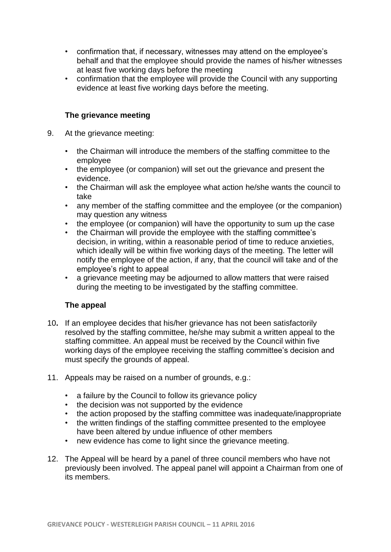- confirmation that, if necessary, witnesses may attend on the employee's behalf and that the employee should provide the names of his/her witnesses at least five working days before the meeting
- confirmation that the employee will provide the Council with any supporting evidence at least five working days before the meeting.

# **The grievance meeting**

- 9. At the grievance meeting:
	- the Chairman will introduce the members of the staffing committee to the employee
	- the employee (or companion) will set out the grievance and present the evidence.
	- the Chairman will ask the employee what action he/she wants the council to take
	- any member of the staffing committee and the employee (or the companion) may question any witness
	- the employee (or companion) will have the opportunity to sum up the case
	- the Chairman will provide the employee with the staffing committee's decision, in writing, within a reasonable period of time to reduce anxieties, which ideally will be within five working days of the meeting. The letter will notify the employee of the action, if any, that the council will take and of the employee's right to appeal
	- a grievance meeting may be adjourned to allow matters that were raised during the meeting to be investigated by the staffing committee.

### **The appeal**

- 10**.** If an employee decides that his/her grievance has not been satisfactorily resolved by the staffing committee, he/she may submit a written appeal to the staffing committee. An appeal must be received by the Council within five working days of the employee receiving the staffing committee's decision and must specify the grounds of appeal.
- 11. Appeals may be raised on a number of grounds, e.g.:
	- a failure by the Council to follow its grievance policy
	- the decision was not supported by the evidence
	- the action proposed by the staffing committee was inadequate/inappropriate
	- the written findings of the staffing committee presented to the employee have been altered by undue influence of other members
	- new evidence has come to light since the grievance meeting.
- 12. The Appeal will be heard by a panel of three council members who have not previously been involved. The appeal panel will appoint a Chairman from one of its members.